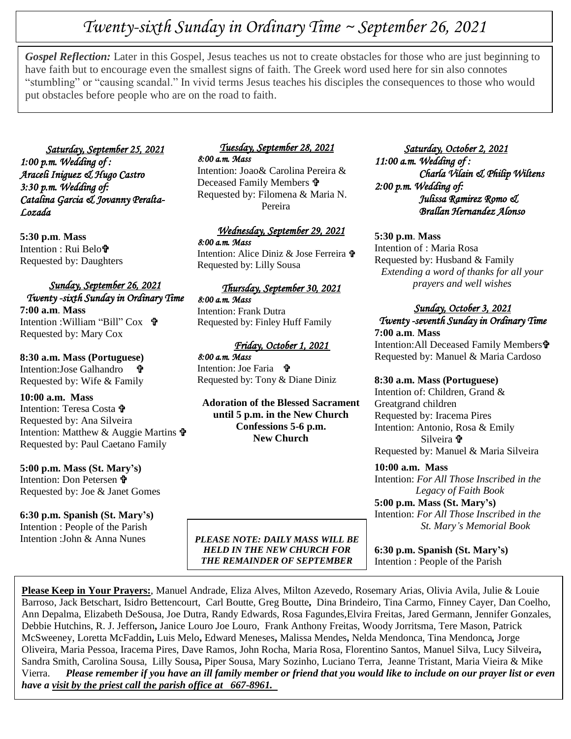# *Twenty-sixth Sunday in Ordinary Time ~ September 26, 2021*

**Gospel Reflection:** Later in this Gospel, Jesus teacnes us not to create obstacles for those who are just begini<br>have faith but to encourage even the smallest signs of faith. The Greek word used here for sin also connotes *Gospel Reflection:* Later in this Gospel, Jesus teaches us not to create obstacles for those who are just beginning to "stumbling" or "causing scandal." In vivid terms Jesus teaches his disciples the consequences to those who would put obstacles before people who are on the road to faith.

*Saturday, September 25, 2021 1:00 p.m. Wedding of : Araceli Iniguez & Hugo Castro 3:30 p.m. Wedding of: Catalina Garcia & Jovanny Peralta-Lozada* 

**5:30 p.m**. **Mass** Intention : Rui Belo Requested by: Daughters

# *Sunday, September 26, 2021 Twenty -sixth Sunday in Ordinary Time*

**7:00 a.m**. **Mass** Intention :William "Bill" Cox Requested by: Mary Cox

# **8:30 a.m. Mass (Portuguese)**

Intention:Jose Galhandro Requested by: Wife & Family

## **10:00 a.m. Mass**

Intention: Teresa Costa Requested by: Ana Silveira Intention: Matthew & Auggie Martins  $\mathbf{\hat{\mathbf{F}}}$ Requested by: Paul Caetano Family

# **5:00 p.m. Mass (St. Mary's)**

Intention: Don Petersen Requested by: Joe & Janet Gomes

## **6:30 p.m. Spanish (St. Mary's)**

Intention : People of the Parish Intention :John & Anna Nunes

#### *Tuesday, September 28, 2021 8:00 a.m. Mass*

Intention: Joao& Carolina Pereira & Deceased Family Members **†** Requested by: Filomena & Maria N. Pereira

# *Wednesday, September 29, 2021 8:00 a.m. Mass*

Intention: Alice Diniz & Jose Ferreira Requested by: Lilly Sousa

#### *Thursday, September 30, 2021*

*8:00 a.m. Mass*  Intention: Frank Dutra Requested by: Finley Huff Family

## *Friday, October 1, 2021*

*8:00 a.m. Mass*  Intention: Joe Faria Requested by: Tony & Diane Diniz

**Adoration of the Blessed Sacrament until 5 p.m. in the New Church Confessions 5-6 p.m. New Church**

 *Saturday, October 2, 2021 11:00 a.m. Wedding of : Charla Vilain & Philip Wiltens 2:00 p.m. Wedding of: Julissa Ramirez Romo & Brallan Hernandez Alonso* 

#### **5:30 p.m**. **Mass**

Intention of : Maria Rosa Requested by: Husband & Family *Extending a word of thanks for all your prayers and well wishes*

# *Sunday, October 3, 2021*

# *Twenty -seventh Sunday in Ordinary Time*  **7:00 a.m**. **Mass**

Intention: All Deceased Family Members<sup>t</sup> Requested by: Manuel & Maria Cardoso

#### **8:30 a.m. Mass (Portuguese)**

Intention of: Children, Grand & Greatgrand children Requested by: Iracema Pires Intention: Antonio, Rosa & Emily Silveira Requested by: Manuel & Maria Silveira

#### **10:00 a.m. Mass** Intention: *For All Those Inscribed in the Legacy of Faith Book*

**5:00 p.m. Mass (St. Mary's)** Intention: *For All Those Inscribed in the St. Mary's Memorial Book*

**6:30 p.m. Spanish (St. Mary's)** Intention : People of the Parish

**Please Keep in Your Prayers:**, Manuel Andrade, Eliza Alves, Milton Azevedo, Rosemary Arias, Olivia Avila, Julie & Louie Barroso, Jack Betschart, Isidro Bettencourt, Carl Boutte, Greg Boutte**,** Dina Brindeiro, Tina Carmo, Finney Cayer, Dan Coelho, Ann Depalma, Elizabeth DeSousa, Joe Dutra, Randy Edwards, Rosa Fagundes,Elvira Freitas, Jared Germann, Jennifer Gonzales, Debbie Hutchins, R. J. Jefferson**,** Janice Louro Joe Louro, Frank Anthony Freitas, Woody Jorritsma, Tere Mason, Patrick McSweeney, Loretta McFaddin**,** Luis Melo**,** Edward Meneses**,** Malissa Mendes**,** Nelda Mendonca, Tina Mendonca*,* Jorge Oliveira, Maria Pessoa, Iracema Pires, Dave Ramos, John Rocha, Maria Rosa, Florentino Santos, Manuel Silva, Lucy Silveira**,** Sandra Smith, Carolina Sousa, Lilly Sousa**,** Piper Sousa, Mary Sozinho, Luciano Terra, Jeanne Tristant, Maria Vieira & Mike Vierra. *Please remember if you have an ill family member or friend that you would like to include on our prayer list or even have a visit by the priest call the parish office at 667-8961.* 

*PLEASE NOTE: DAILY MASS WILL BE HELD IN THE NEW CHURCH FOR THE REMAINDER OF SEPTEMBER*